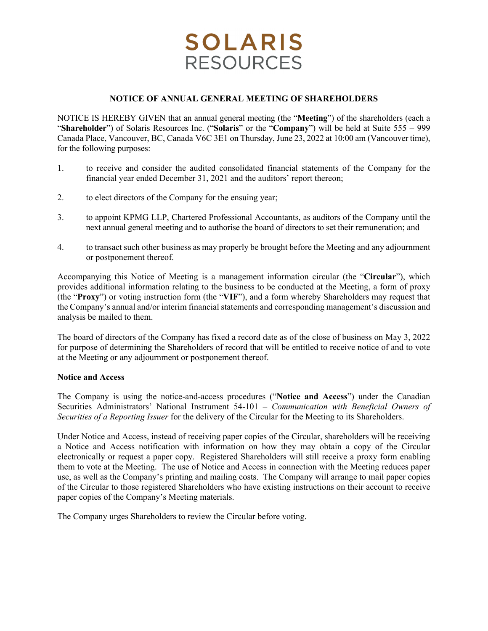# **SOLARIS RESOURCES**

## **NOTICE OF ANNUAL GENERAL MEETING OF SHAREHOLDERS**

NOTICE IS HEREBY GIVEN that an annual general meeting (the "**Meeting**") of the shareholders (each a "**Shareholder**") of Solaris Resources Inc. ("**Solaris**" or the "**Company**") will be held at Suite 555 – 999 Canada Place, Vancouver, BC, Canada V6C 3E1 on Thursday, June 23, 2022 at 10:00 am (Vancouver time), for the following purposes:

- 1. to receive and consider the audited consolidated financial statements of the Company for the financial year ended December 31, 2021 and the auditors' report thereon;
- 2. to elect directors of the Company for the ensuing year;
- 3. to appoint KPMG LLP, Chartered Professional Accountants, as auditors of the Company until the next annual general meeting and to authorise the board of directors to set their remuneration; and
- 4. to transact such other business as may properly be brought before the Meeting and any adjournment or postponement thereof.

Accompanying this Notice of Meeting is a management information circular (the "**Circular**"), which provides additional information relating to the business to be conducted at the Meeting, a form of proxy (the "**Proxy**") or voting instruction form (the "**VIF**"), and a form whereby Shareholders may request that the Company's annual and/or interim financial statements and corresponding management's discussion and analysis be mailed to them.

The board of directors of the Company has fixed a record date as of the close of business on May 3, 2022 for purpose of determining the Shareholders of record that will be entitled to receive notice of and to vote at the Meeting or any adjournment or postponement thereof.

#### **Notice and Access**

The Company is using the notice-and-access procedures ("**Notice and Access**") under the Canadian Securities Administrators' National Instrument 54-101 – *Communication with Beneficial Owners of Securities of a Reporting Issuer* for the delivery of the Circular for the Meeting to its Shareholders.

Under Notice and Access, instead of receiving paper copies of the Circular, shareholders will be receiving a Notice and Access notification with information on how they may obtain a copy of the Circular electronically or request a paper copy. Registered Shareholders will still receive a proxy form enabling them to vote at the Meeting. The use of Notice and Access in connection with the Meeting reduces paper use, as well as the Company's printing and mailing costs. The Company will arrange to mail paper copies of the Circular to those registered Shareholders who have existing instructions on their account to receive paper copies of the Company's Meeting materials.

The Company urges Shareholders to review the Circular before voting.